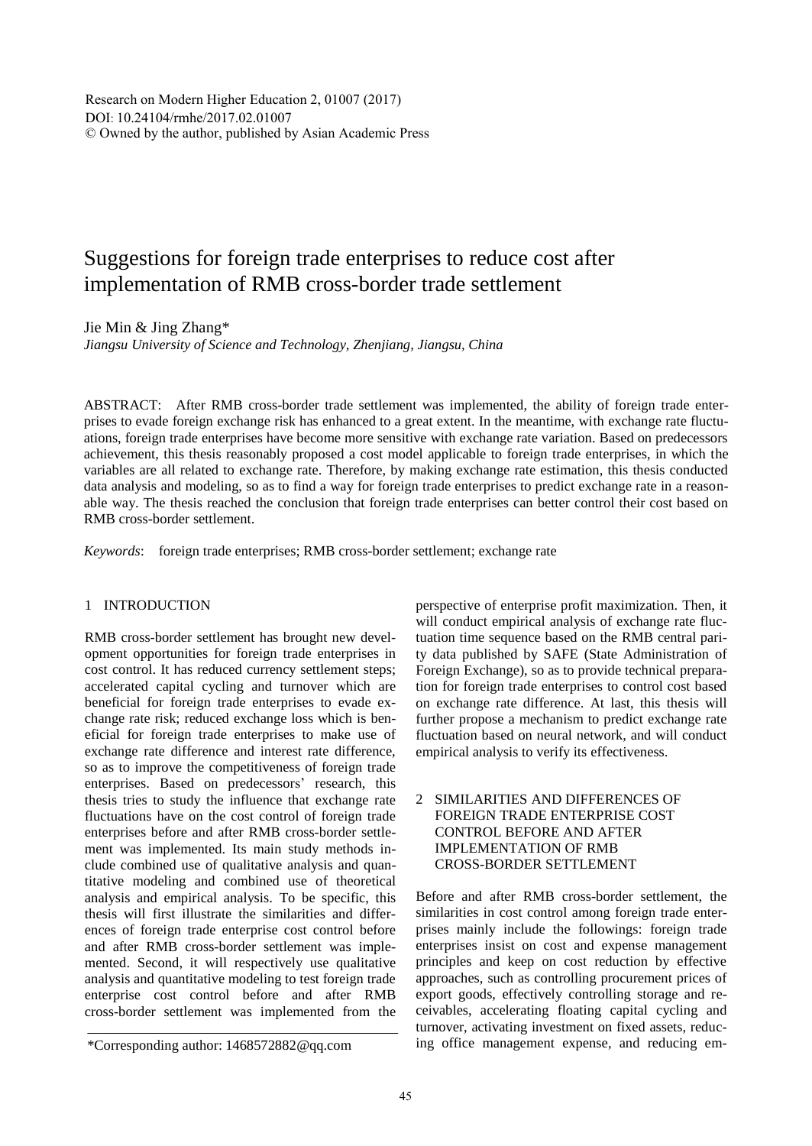Research on Modern Higher Education 2, 01007 (2017) DOI: 10.24104/rmhe/2017.02.01007 © Owned by the author, published by Asian Academic Press

# Suggestions for foreign trade enterprises to reduce cost after implementation of RMB cross-border trade settlement

Jie Min & Jing Zhang\*

*Jiangsu University of Science and Technology, Zhenjiang, Jiangsu, China*

ABSTRACT: After RMB cross-border trade settlement was implemented, the ability of foreign trade enterprises to evade foreign exchange risk has enhanced to a great extent. In the meantime, with exchange rate fluctuations, foreign trade enterprises have become more sensitive with exchange rate variation. Based on predecessors' achievement, this thesis reasonably proposed a cost model applicable to foreign trade enterprises, in which the variables are all related to exchange rate. Therefore, by making exchange rate estimation, this thesis conducted data analysis and modeling, so as to find a way for foreign trade enterprises to predict exchange rate in a reasonable way. The thesis reached the conclusion that foreign trade enterprises can better control their cost based on RMB cross-border settlement.

*Keywords*: foreign trade enterprises; RMB cross-border settlement; exchange rate

## 1 INTRODUCTION

RMB cross-border settlement has brought new development opportunities for foreign trade enterprises in cost control. It has reduced currency settlement steps; accelerated capital cycling and turnover which are beneficial for foreign trade enterprises to evade exchange rate risk; reduced exchange loss which is beneficial for foreign trade enterprises to make use of exchange rate difference and interest rate difference, so as to improve the competitiveness of foreign trade enterprises. Based on predecessors' research, this thesis tries to study the influence that exchange rate fluctuations have on the cost control of foreign trade enterprises before and after RMB cross-border settlement was implemented. Its main study methods include combined use of qualitative analysis and quantitative modeling and combined use of theoretical analysis and empirical analysis. To be specific, this thesis will first illustrate the similarities and differences of foreign trade enterprise cost control before and after RMB cross-border settlement was implemented. Second, it will respectively use qualitative analysis and quantitative modeling to test foreign trade enterprise cost control before and after RMB cross-border settlement was implemented from the

perspective of enterprise profit maximization. Then, it will conduct empirical analysis of exchange rate fluctuation time sequence based on the RMB central parity data published by SAFE (State Administration of Foreign Exchange), so as to provide technical preparation for foreign trade enterprises to control cost based on exchange rate difference. At last, this thesis will further propose a mechanism to predict exchange rate fluctuation based on neural network, and will conduct empirical analysis to verify its effectiveness.

## 2 SIMILARITIES AND DIFFERENCES OF FOREIGN TRADE ENTERPRISE COST CONTROL BEFORE AND AFTER IMPLEMENTATION OF RMB CROSS-BORDER SETTLEMENT

Before and after RMB cross-border settlement, the similarities in cost control among foreign trade enterprises mainly include the followings: foreign trade enterprises insist on cost and expense management principles and keep on cost reduction by effective approaches, such as controlling procurement prices of export goods, effectively controlling storage and receivables, accelerating floating capital cycling and turnover, activating investment on fixed assets, reducing office management expense, and reducing em-

<sup>\*</sup>Corresponding author: 1468572882@qq.com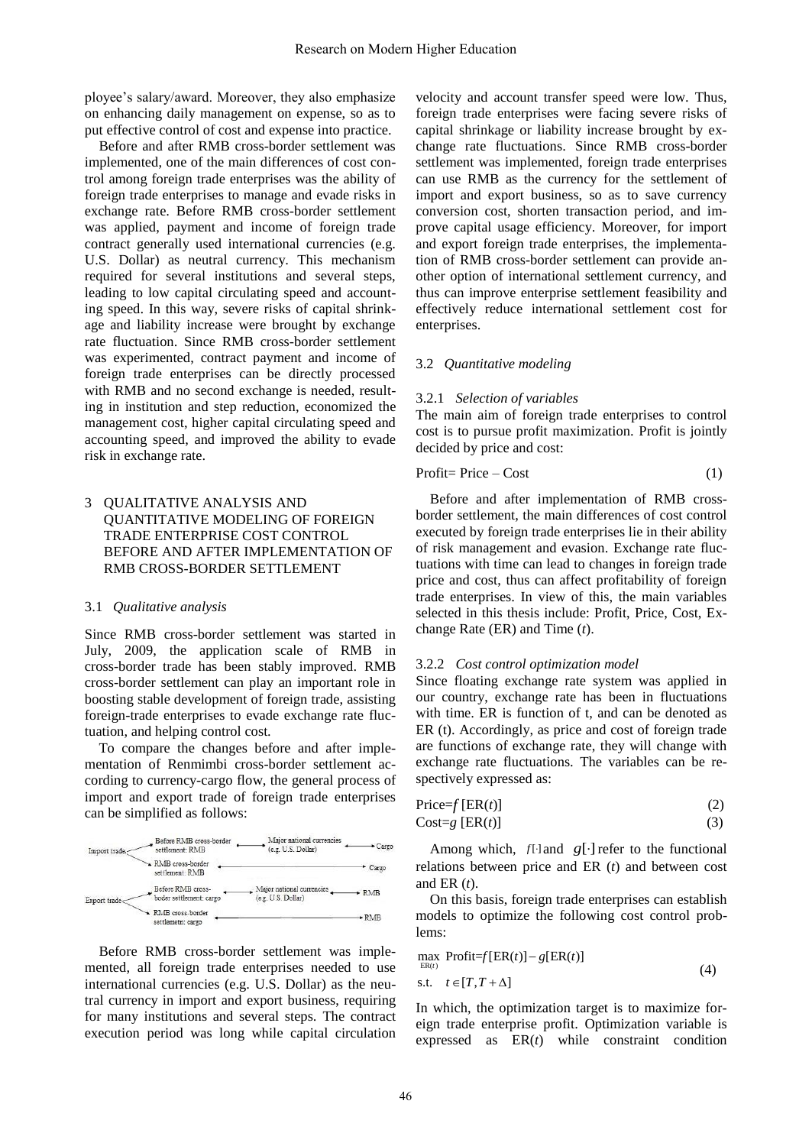ployee's salary/award. Moreover, they also emphasize on enhancing daily management on expense, so as to put effective control of cost and expense into practice.

Before and after RMB cross-border settlement was implemented, one of the main differences of cost control among foreign trade enterprises was the ability of foreign trade enterprises to manage and evade risks in exchange rate. Before RMB cross-border settlement was applied, payment and income of foreign trade contract generally used international currencies (e.g. U.S. Dollar) as neutral currency. This mechanism required for several institutions and several steps, leading to low capital circulating speed and accounting speed. In this way, severe risks of capital shrinkage and liability increase were brought by exchange rate fluctuation. Since RMB cross-border settlement was experimented, contract payment and income of foreign trade enterprises can be directly processed with RMB and no second exchange is needed, resulting in institution and step reduction, economized the management cost, higher capital circulating speed and accounting speed, and improved the ability to evade risk in exchange rate.

## 3 QUALITATIVE ANALYSIS AND QUANTITATIVE MODELING OF FOREIGN TRADE ENTERPRISE COST CONTROL BEFORE AND AFTER IMPLEMENTATION OF RMB CROSS-BORDER SETTLEMENT

#### 3.1 *Qualitative analysis*

Since RMB cross-border settlement was started in July, 2009, the application scale of RMB in cross-border trade has been stably improved. RMB cross-border settlement can play an important role in boosting stable development of foreign trade, assisting foreign-trade enterprises to evade exchange rate fluctuation, and helping control cost.

To compare the changes before and after implementation of Renmimbi cross-border settlement according to currency-cargo flow, the general process of import and export trade of foreign trade enterprises can be simplified as follows:



Before RMB cross-border settlement was implemented, all foreign trade enterprises needed to use international currencies (e.g. U.S. Dollar) as the neutral currency in import and export business, requiring for many institutions and several steps. The contract execution period was long while capital circulation velocity and account transfer speed were low. Thus, foreign trade enterprises were facing severe risks of capital shrinkage or liability increase brought by exchange rate fluctuations. Since RMB cross-border settlement was implemented, foreign trade enterprises can use RMB as the currency for the settlement of import and export business, so as to save currency conversion cost, shorten transaction period, and improve capital usage efficiency. Moreover, for import and export foreign trade enterprises, the implementation of RMB cross-border settlement can provide another option of international settlement currency, and thus can improve enterprise settlement feasibility and effectively reduce international settlement cost for enterprises.

## 3.2 *Quantitative modeling*

#### 3.2.1 *Selection of variables*

The main aim of foreign trade enterprises to control cost is to pursue profit maximization. Profit is jointly decided by price and cost:

$$
Profit = Price - Cost \tag{1}
$$

Before and after implementation of RMB crossborder settlement, the main differences of cost control executed by foreign trade enterprises lie in their ability of risk management and evasion. Exchange rate fluctuations with time can lead to changes in foreign trade price and cost, thus can affect profitability of foreign trade enterprises. In view of this, the main variables selected in this thesis include: Profit, Price, Cost, Exchange Rate (ER) and Time (*t*).

#### 3.2.2 *Cost control optimization model*

Since floating exchange rate system was applied in our country, exchange rate has been in fluctuations with time. ER is function of t, and can be denoted as ER (t). Accordingly, as price and cost of foreign trade are functions of exchange rate, they will change with exchange rate fluctuations. The variables can be respectively expressed as:

$$
Price = f [ER(t)] \tag{2}
$$
\n
$$
Cost = g [ER(t)] \tag{3}
$$

Among which,  $f[\cdot]$  and  $g[\cdot]$  refer to the functional relations between price and ER (*t*) and between cost and ER (*t*).

On this basis, foreign trade enterprises can establish models to optimize the following cost control problems:

$$
\max_{\text{ER}(t)} \text{Profit} = f[\text{ER}(t)] - g[\text{ER}(t)]
$$
\n
$$
\text{s.t.} \quad t \in [T, T + \Delta] \tag{4}
$$

In which, the optimization target is to maximize foreign trade enterprise profit. Optimization variable is expressed as ER(*t*) while constraint condition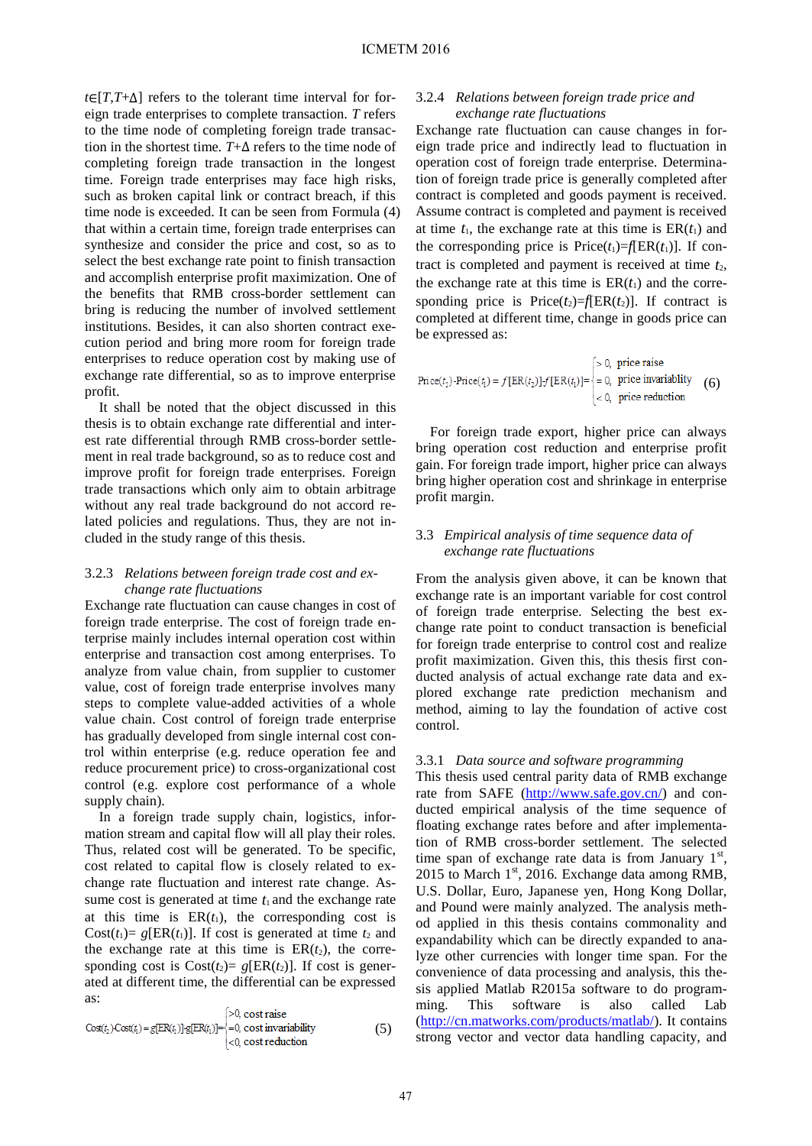*t*∈[*T*,*T*+Δ] refers to the tolerant time interval for foreign trade enterprises to complete transaction. *T* refers to the time node of completing foreign trade transaction in the shortest time. *T*+Δ refers to the time node of completing foreign trade transaction in the longest time. Foreign trade enterprises may face high risks, such as broken capital link or contract breach, if this time node is exceeded. It can be seen from Formula (4) that within a certain time, foreign trade enterprises can synthesize and consider the price and cost, so as to select the best exchange rate point to finish transaction and accomplish enterprise profit maximization. One of the benefits that RMB cross-border settlement can bring is reducing the number of involved settlement institutions. Besides, it can also shorten contract execution period and bring more room for foreign trade enterprises to reduce operation cost by making use of exchange rate differential, so as to improve enterprise profit.

It shall be noted that the object discussed in this thesis is to obtain exchange rate differential and interest rate differential through RMB cross-border settlement in real trade background, so as to reduce cost and improve profit for foreign trade enterprises. Foreign trade transactions which only aim to obtain arbitrage without any real trade background do not accord related policies and regulations. Thus, they are not included in the study range of this thesis.

## 3.2.3 *Relations between foreign trade cost and exchange rate fluctuations*

Exchange rate fluctuation can cause changes in cost of foreign trade enterprise. The cost of foreign trade enterprise mainly includes internal operation cost within enterprise and transaction cost among enterprises. To analyze from value chain, from supplier to customer value, cost of foreign trade enterprise involves many steps to complete value-added activities of a whole value chain. Cost control of foreign trade enterprise has gradually developed from single internal cost control within enterprise (e.g. reduce operation fee and reduce procurement price) to cross-organizational cost control (e.g. explore cost performance of a whole supply chain).

In a foreign trade supply chain, logistics, information stream and capital flow will all play their roles. Thus, related cost will be generated. To be specific, cost related to capital flow is closely related to exchange rate fluctuation and interest rate change. Assume cost is generated at time  $t_1$  and the exchange rate at this time is  $ER(t_1)$ , the corresponding cost is Cost( $t_1$ )=  $g[ER(t_1)]$ . If cost is generated at time  $t_2$  and the exchange rate at this time is  $ER(t_2)$ , the corresponding cost is  $Cost(t_2) = g[ER(t_2)]$ . If cost is generated at different time, the differential can be expressed as:

$$
Cost(t_1) Cost(t_2) = g[ER(t_2)]-g[ER(t_1)] =\n \begin{cases}\n 0 < 0 < 0 \\
-0 < 0 < 0 \\
0 < 0 < 0\n \end{cases}
$$
\n
$$
(5)
$$

## 3.2.4 *Relations between foreign trade price and exchange rate fluctuations*

Exchange rate fluctuation can cause changes in foreign trade price and indirectly lead to fluctuation in operation cost of foreign trade enterprise. Determination of foreign trade price is generally completed after contract is completed and goods payment is received. Assume contract is completed and payment is received at time  $t_1$ , the exchange rate at this time is  $ER(t_1)$  and the corresponding price is  $Price(t_1)=f|ER(t_1)|$ . If contract is completed and payment is received at time  $t_2$ , the exchange rate at this time is  $ER(t_1)$  and the corresponding price is  $Price(t_2)=f[ER(t_2)]$ . If contract is completed at different time, change in goods price can be expressed as:

$$
Price(t2)-Price(t1) = f[ER(t2)] - f[ER(t1)] =\n \begin{cases}\n > 0, \text{ price in variability} \\
= 0, \text{ price in variability} \\
< 0, \text{ price reduction}\n \end{cases}\n \tag{6}
$$

For foreign trade export, higher price can always bring operation cost reduction and enterprise profit gain. For foreign trade import, higher price can always bring higher operation cost and shrinkage in enterprise profit margin.

## 3.3 *Empirical analysis of time sequence data of exchange rate fluctuations*

From the analysis given above, it can be known that exchange rate is an important variable for cost control of foreign trade enterprise. Selecting the best exchange rate point to conduct transaction is beneficial for foreign trade enterprise to control cost and realize profit maximization. Given this, this thesis first conducted analysis of actual exchange rate data and explored exchange rate prediction mechanism and method, aiming to lay the foundation of active cost control.

## 3.3.1 *Data source and software programming*

This thesis used central parity data of RMB exchange rate from SAFE (http://www.safe.gov.cn/) and conducted empirical analysis of the time sequence of floating exchange rates before and after implementation of RMB cross-border settlement. The selected time span of exchange rate data is from January  $1<sup>st</sup>$ , 2015 to March  $1<sup>st</sup>$ , 2016. Exchange data among RMB, U.S. Dollar, Euro, Japanese yen, Hong Kong Dollar, and Pound were mainly analyzed. The analysis method applied in this thesis contains commonality and expandability which can be directly expanded to analyze other currencies with longer time span. For the convenience of data processing and analysis, this thesis applied Matlab R2015a software to do programming. This software is also called Lab (http://cn.matworks.com/products/matlab/). It contains strong vector and vector data handling capacity, and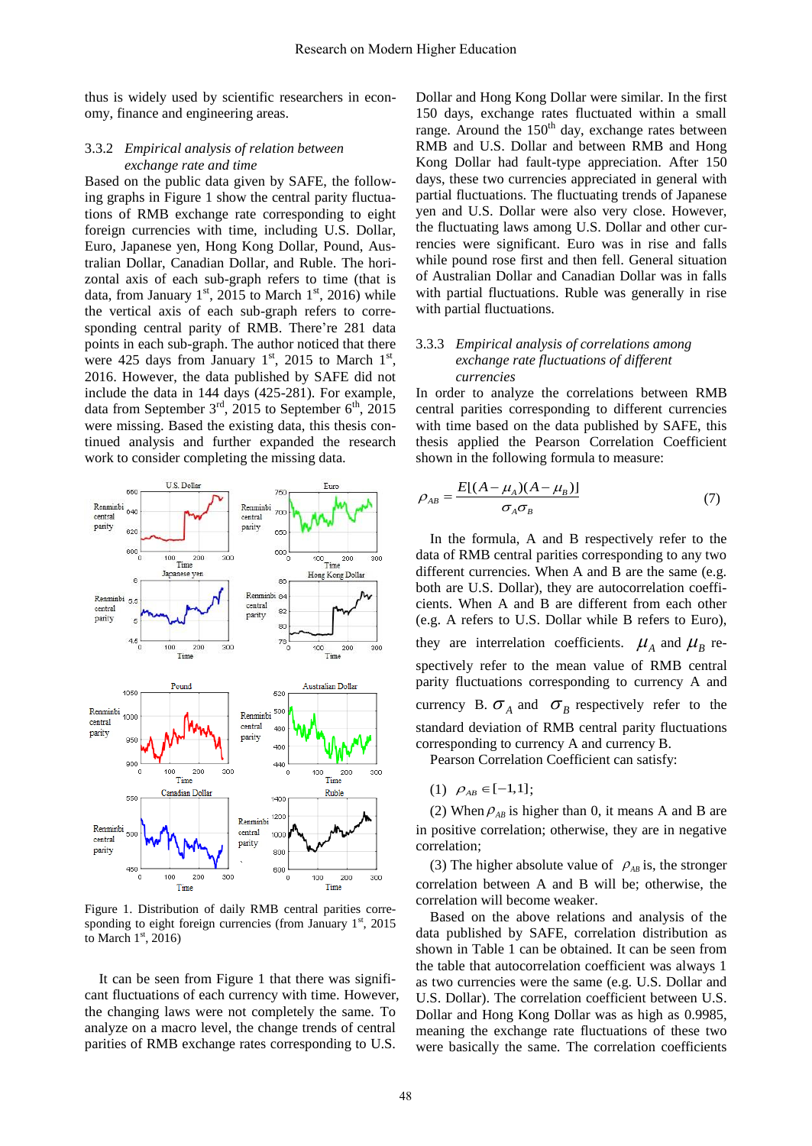thus is widely used by scientific researchers in economy, finance and engineering areas.

#### 3.3.2 *Empirical analysis of relation between exchange rate and time*

Based on the public data given by SAFE, the following graphs in Figure 1 show the central parity fluctuations of RMB exchange rate corresponding to eight foreign currencies with time, including U.S. Dollar, Euro, Japanese yen, Hong Kong Dollar, Pound, Australian Dollar, Canadian Dollar, and Ruble. The horizontal axis of each sub-graph refers to time (that is data, from January  $1<sup>st</sup>$ , 2015 to March  $1<sup>st</sup>$ , 2016) while the vertical axis of each sub-graph refers to corresponding central parity of RMB. There're 281 data points in each sub-graph. The author noticed that there were 425 days from January  $1<sup>st</sup>$ , 2015 to March  $1<sup>st</sup>$ , 2016. However, the data published by SAFE did not include the data in 144 days (425-281). For example, data from September  $3<sup>rd</sup>$ , 2015 to September  $6<sup>th</sup>$ , 2015 were missing. Based the existing data, this thesis continued analysis and further expanded the research work to consider completing the missing data.



Figure 1. Distribution of daily RMB central parities corresponding to eight foreign currencies (from January  $1<sup>st</sup>$ , 2015 to March  $1<sup>st</sup>$ , 2016)

It can be seen from Figure 1 that there was significant fluctuations of each currency with time. However, the changing laws were not completely the same. To analyze on a macro level, the change trends of central parities of RMB exchange rates corresponding to U.S.

Dollar and Hong Kong Dollar were similar. In the first 150 days, exchange rates fluctuated within a small range. Around the  $150<sup>th</sup>$  day, exchange rates between RMB and U.S. Dollar and between RMB and Hong Kong Dollar had fault-type appreciation. After 150 days, these two currencies appreciated in general with partial fluctuations. The fluctuating trends of Japanese yen and U.S. Dollar were also very close. However, the fluctuating laws among U.S. Dollar and other currencies were significant. Euro was in rise and falls while pound rose first and then fell. General situation of Australian Dollar and Canadian Dollar was in falls with partial fluctuations. Ruble was generally in rise with partial fluctuations.

## 3.3.3 *Empirical analysis of correlations among exchange rate fluctuations of different currencies*

In order to analyze the correlations between RMB central parities corresponding to different currencies with time based on the data published by SAFE, this thesis applied the Pearson Correlation Coefficient shown in the following formula to measure:

$$
\rho_{AB} = \frac{E[(A - \mu_A)(A - \mu_B)]}{\sigma_A \sigma_B} \tag{7}
$$

In the formula, A and B respectively refer to the data of RMB central parities corresponding to any two different currencies. When A and B are the same (e.g. both are U.S. Dollar), they are autocorrelation coefficients. When A and B are different from each other (e.g. A refers to U.S. Dollar while B refers to Euro), they are interrelation coefficients.  $\mu_A$  and  $\mu_B$  respectively refer to the mean value of RMB central parity fluctuations corresponding to currency A and currency B.  $\sigma_A$  and  $\sigma_B$  respectively refer to the standard deviation of RMB central parity fluctuations corresponding to currency A and currency B.

Pearson Correlation Coefficient can satisfy:

(1)  $\rho_{AB} \in [-1,1];$ 

(2) When  $\rho_{AB}$  is higher than 0, it means A and B are in positive correlation; otherwise, they are in negative correlation;

(3) The higher absolute value of  $\rho_{AB}$  is, the stronger correlation between A and B will be; otherwise, the correlation will become weaker.

Based on the above relations and analysis of the data published by SAFE, correlation distribution as shown in Table 1 can be obtained. It can be seen from the table that autocorrelation coefficient was always 1 as two currencies were the same (e.g. U.S. Dollar and U.S. Dollar). The correlation coefficient between U.S. Dollar and Hong Kong Dollar was as high as 0.9985, meaning the exchange rate fluctuations of these two were basically the same. The correlation coefficients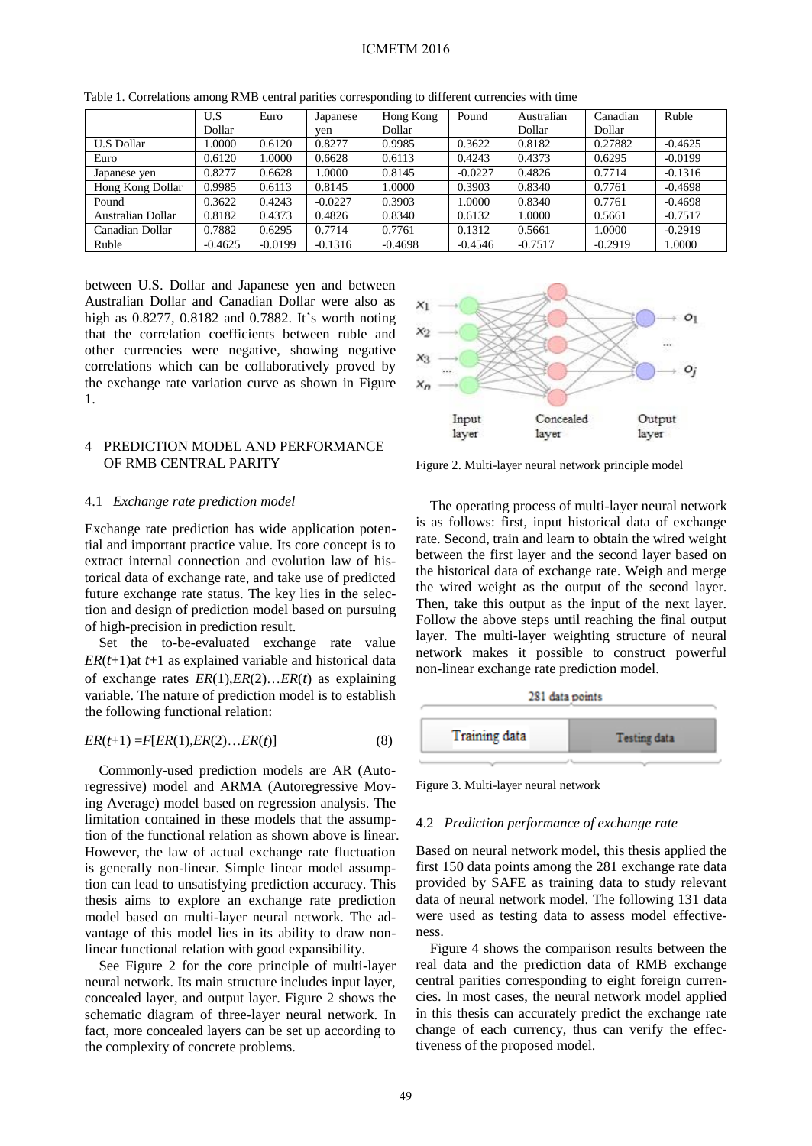## ICMETM 2016

|                   | U.S       | Euro      | Japanese  | Hong Kong | Pound     | Australian | Canadian  | Ruble     |
|-------------------|-----------|-----------|-----------|-----------|-----------|------------|-----------|-----------|
|                   | Dollar    |           | ven       | Dollar    |           | Dollar     | Dollar    |           |
| <b>U.S Dollar</b> | .0000     | 0.6120    | 0.8277    | 0.9985    | 0.3622    | 0.8182     | 0.27882   | $-0.4625$ |
| Euro              | 0.6120    | 1.0000    | 0.6628    | 0.6113    | 0.4243    | 0.4373     | 0.6295    | $-0.0199$ |
| Japanese yen      | 0.8277    | 0.6628    | 1.0000    | 0.8145    | $-0.0227$ | 0.4826     | 0.7714    | $-0.1316$ |
| Hong Kong Dollar  | 0.9985    | 0.6113    | 0.8145    | 1.0000    | 0.3903    | 0.8340     | 0.7761    | $-0.4698$ |
| Pound             | 0.3622    | 0.4243    | $-0.0227$ | 0.3903    | 1.0000    | 0.8340     | 0.7761    | $-0.4698$ |
| Australian Dollar | 0.8182    | 0.4373    | 0.4826    | 0.8340    | 0.6132    | 1.0000     | 0.5661    | $-0.7517$ |
| Canadian Dollar   | 0.7882    | 0.6295    | 0.7714    | 0.7761    | 0.1312    | 0.5661     | 1.0000    | $-0.2919$ |
| Ruble             | $-0.4625$ | $-0.0199$ | $-0.1316$ | $-0.4698$ | $-0.4546$ | $-0.7517$  | $-0.2919$ | .0000     |

Table 1. Correlations among RMB central parities corresponding to different currencies with time

between U.S. Dollar and Japanese yen and between Australian Dollar and Canadian Dollar were also as high as 0.8277, 0.8182 and 0.7882. It's worth noting that the correlation coefficients between ruble and other currencies were negative, showing negative correlations which can be collaboratively proved by the exchange rate variation curve as shown in Figure 1.

## 4 PREDICTION MODEL AND PERFORMANCE OF RMB CENTRAL PARITY

#### 4.1 *Exchange rate prediction model*

Exchange rate prediction has wide application potential and important practice value. Its core concept is to extract internal connection and evolution law of historical data of exchange rate, and take use of predicted future exchange rate status. The key lies in the selection and design of prediction model based on pursuing of high-precision in prediction result.

Set the to-be-evaluated exchange rate value *ER*(*t*+1)at *t*+1 as explained variable and historical data of exchange rates *ER*(1),*ER*(2)…*ER*(*t*) as explaining variable. The nature of prediction model is to establish the following functional relation:

$$
ER(t+1) = F[ER(1), ER(2)...ER(t)] \tag{8}
$$

Commonly-used prediction models are AR (Autoregressive) model and ARMA (Autoregressive Moving Average) model based on regression analysis. The limitation contained in these models that the assumption of the functional relation as shown above is linear. However, the law of actual exchange rate fluctuation is generally non-linear. Simple linear model assumption can lead to unsatisfying prediction accuracy. This thesis aims to explore an exchange rate prediction model based on multi-layer neural network. The advantage of this model lies in its ability to draw nonlinear functional relation with good expansibility.

See Figure 2 for the core principle of multi-layer neural network. Its main structure includes input layer, concealed layer, and output layer. Figure 2 shows the schematic diagram of three-layer neural network. In fact, more concealed layers can be set up according to the complexity of concrete problems.



Figure 2. Multi-layer neural network principle model

The operating process of multi-layer neural network is as follows: first, input historical data of exchange rate. Second, train and learn to obtain the wired weight between the first layer and the second layer based on the historical data of exchange rate. Weigh and merge the wired weight as the output of the second layer. Then, take this output as the input of the next layer. Follow the above steps until reaching the final output layer. The multi-layer weighting structure of neural network makes it possible to construct powerful non-linear exchange rate prediction model.



Figure 3. Multi-layer neural network

#### 4.2 *Prediction performance of exchange rate*

Based on neural network model, this thesis applied the first 150 data points among the 281 exchange rate data provided by SAFE as training data to study relevant data of neural network model. The following 131 data were used as testing data to assess model effectiveness.

Figure 4 shows the comparison results between the real data and the prediction data of RMB exchange central parities corresponding to eight foreign currencies. In most cases, the neural network model applied in this thesis can accurately predict the exchange rate change of each currency, thus can verify the effectiveness of the proposed model.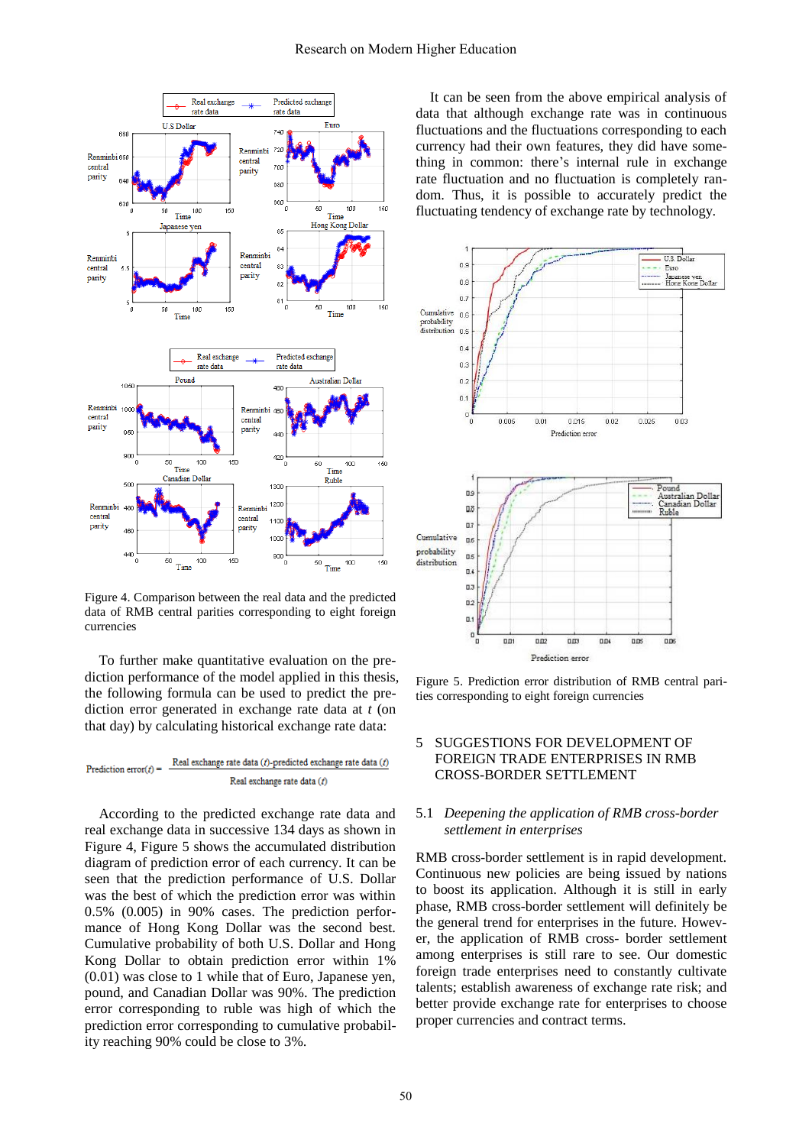

Figure 4. Comparison between the real data and the predicted data of RMB central parities corresponding to eight foreign currencies

To further make quantitative evaluation on the prediction performance of the model applied in this thesis, the following formula can be used to predict the prediction error generated in exchange rate data at *t* (on that day) by calculating historical exchange rate data:

Real exchange rate data (t)-predicted exchange rate data (t) Prediction error( $f$ ) = Real exchange rate data (t)

According to the predicted exchange rate data and real exchange data in successive 134 days as shown in Figure 4, Figure 5 shows the accumulated distribution diagram of prediction error of each currency. It can be seen that the prediction performance of U.S. Dollar was the best of which the prediction error was within 0.5% (0.005) in 90% cases. The prediction performance of Hong Kong Dollar was the second best. Cumulative probability of both U.S. Dollar and Hong Kong Dollar to obtain prediction error within 1% (0.01) was close to 1 while that of Euro, Japanese yen, pound, and Canadian Dollar was 90%. The prediction error corresponding to ruble was high of which the prediction error corresponding to cumulative probability reaching 90% could be close to 3%.

It can be seen from the above empirical analysis of data that although exchange rate was in continuous fluctuations and the fluctuations corresponding to each currency had their own features, they did have something in common: there's internal rule in exchange rate fluctuation and no fluctuation is completely random. Thus, it is possible to accurately predict the fluctuating tendency of exchange rate by technology.



Figure 5. Prediction error distribution of RMB central parities corresponding to eight foreign currencies

## 5 SUGGESTIONS FOR DEVELOPMENT OF FOREIGN TRADE ENTERPRISES IN RMB CROSS-BORDER SETTLEMENT

## 5.1 *Deepening the application of RMB cross-border settlement in enterprises*

RMB cross-border settlement is in rapid development. Continuous new policies are being issued by nations to boost its application. Although it is still in early phase, RMB cross-border settlement will definitely be the general trend for enterprises in the future. However, the application of RMB cross- border settlement among enterprises is still rare to see. Our domestic foreign trade enterprises need to constantly cultivate talents; establish awareness of exchange rate risk; and better provide exchange rate for enterprises to choose proper currencies and contract terms.